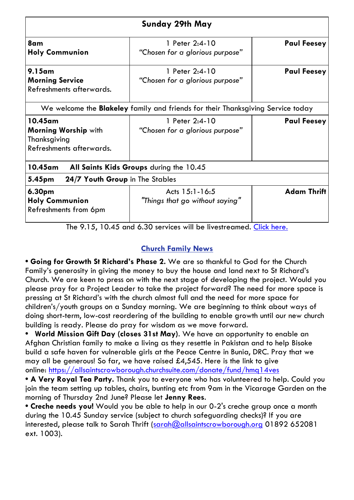| Sunday 29th May                                                                        |                                                   |                    |  |  |  |
|----------------------------------------------------------------------------------------|---------------------------------------------------|--------------------|--|--|--|
| 8am<br><b>Holy Communion</b>                                                           | 1 Peter 2:4-10<br>"Chosen for a glorious purpose" | <b>Paul Feesey</b> |  |  |  |
| $9.15$ am<br><b>Morning Service</b><br>Refreshments afterwards.                        | 1 Peter 2:4-10<br>"Chosen for a glorious purpose" | <b>Paul Feesey</b> |  |  |  |
| We welcome the <b>Blakeley</b> family and friends for their Thanksgiving Service today |                                                   |                    |  |  |  |
| 10.45am<br>Morning Worship with<br>Thanksgiving<br>Refreshments afterwards.            | 1 Peter 2:4-10<br>"Chosen for a glorious purpose" | <b>Paul Feesey</b> |  |  |  |
| 10.45am<br>All Saints Kids Groups during the 10.45                                     |                                                   |                    |  |  |  |
| 24/7 Youth Group in The Stables<br>5.45pm                                              |                                                   |                    |  |  |  |
| 6.30pm<br><b>Holy Communion</b><br>Refreshments from 6pm                               | Acts 15:1-16:5<br>"Things that go without saying" | <b>Adam Thrift</b> |  |  |  |

The 9.15, 10.45 and 6.30 services will be livestreamed. [Click here.](https://www.youtube.com/AllSaintsCrowborough)

# **Church Family News**

**• Going for Growth St Richard's Phase 2.** We are so thankful to God for the Church Family's generosity in giving the money to buy the house and land next to St Richard's Church. We are keen to press on with the next stage of developing the project. Would you please pray for a Project Leader to take the project forward? The need for more space is pressing at St Richard's with the church almost full and the need for more space for children's/youth groups on a Sunday morning. We are beginning to think about ways of doing short-term, low-cost reordering of the building to enable growth until our new church building is ready. Please do pray for wisdom as we move forward.

**• World Mission Gift Day (closes 31st May)**. We have an opportunity to enable an Afghan Christian family to make a living as they resettle in Pakistan and to help Bisoke build a safe haven for vulnerable girls at the Peace Centre in Bunia, DRC. Pray that we may all be generous! So far, we have raised £4,545. Here is the link to give online: <https://allsaintscrowborough.churchsuite.com/donate/fund/hmq14ves>

**• A Very Royal Tea Party.** Thank you to everyone who has volunteered to help. Could you join the team setting up tables, chairs, bunting etc from 9am in the Vicarage Garden on the morning of Thursday 2nd June? Please let **Jenny Rees**.

**• Creche needs you!** Would you be able to help in our 0-2's creche group once a month during the 10.45 Sunday service (subject to church safeguarding checks)? If you are interested, please talk to Sarah Thrift [\(sarah@allsaintscrowborough.org](mailto:sarah@allsaintscrowborough.org) 01892 652081 ext. 1003).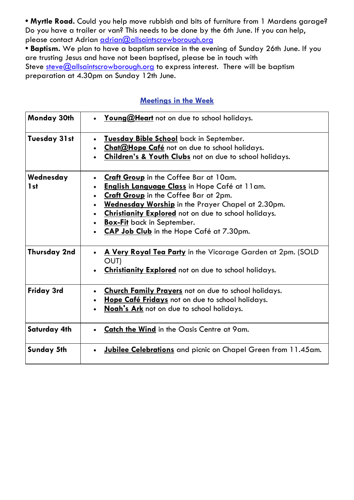**• Myrtle Road.** Could you help move rubbish and bits of furniture from 1 Mardens garage? Do you have a trailer or van? This needs to be done by the 6th June. If you can help, please contact Adrian [adrian@allsaintscrowborough.org](mailto:adrian@allsaintscrowborough.org)

**• Baptism.** We plan to have a baptism service in the evening of Sunday 26th June. If you are trusting Jesus and have not been baptised, please be in touch with Steve [steve@allsaintscrowborough.org](mailto:steve@allsaintscrowborough.org) to express interest. There will be baptism preparation at 4.30pm on Sunday 12th June.

## **Meetings in the Week**

| Monday 30th                  | Young@Heart not on due to school holidays.                                                                                                                                                                                                                                                                                           |
|------------------------------|--------------------------------------------------------------------------------------------------------------------------------------------------------------------------------------------------------------------------------------------------------------------------------------------------------------------------------------|
| Tuesday 31 st                | Tuesday Bible School back in September.<br>Chat@Hope Café not on due to school holidays.<br><b>Children's &amp; Youth Clubs</b> not on due to school holidays.                                                                                                                                                                       |
| Wednesday<br>1 <sub>st</sub> | Craft Group in the Coffee Bar at 10am.<br><b>English Language Class</b> in Hope Café at 11am.<br>Craft Group in the Coffee Bar at 2pm.<br>Wednesday Worship in the Prayer Chapel at 2.30pm.<br>Christianity Explored not on due to school holidays.<br><b>Box-Fit</b> back in September.<br>CAP Job Club in the Hope Café at 7.30pm. |
| Thursday 2nd                 | A Very Royal Tea Party in the Vicarage Garden at 2pm. (SOLD<br>OUT)<br>Christianity Explored not on due to school holidays.                                                                                                                                                                                                          |
| Friday 3rd                   | <b>Church Family Prayers</b> not on due to school holidays.<br>Hope Café Fridays not on due to school holidays.<br>$\bullet$<br>Noah's Ark not on due to school holidays.                                                                                                                                                            |
| <b>Saturday 4th</b>          | <b>Catch the Wind</b> in the Oasis Centre at 9am.                                                                                                                                                                                                                                                                                    |
| <b>Sunday 5th</b>            | <b>Jubilee Celebrations</b> and picnic on Chapel Green from 11.45am.                                                                                                                                                                                                                                                                 |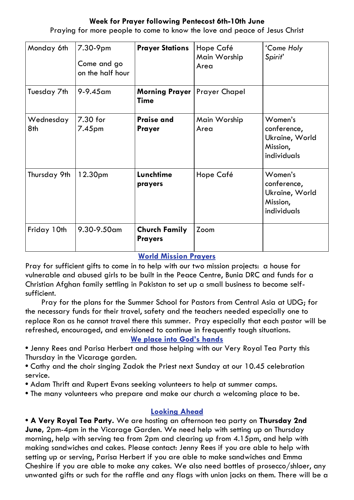## **Week for Prayer following Pentecost 6th-10th June**

| Monday 6th       | 7.30-9pm<br>Come and go<br>on the half hour | <b>Prayer Stations</b>                               | Hope Café<br>Main Worship<br>Area | 'Come Holy<br>Spirit'                                               |
|------------------|---------------------------------------------|------------------------------------------------------|-----------------------------------|---------------------------------------------------------------------|
| Tuesday 7th      | 9-9.45 am                                   | <b>Morning Prayer   Prayer Chapel</b><br><b>Time</b> |                                   |                                                                     |
| Wednesday<br>8th | 7.30 for<br>7.45 <sub>pm</sub>              | <b>Praise and</b><br><b>Prayer</b>                   | Main Worship<br>Area              | Women's<br>conference,<br>Ukraine, World<br>Mission,<br>individuals |
| Thursday 9th     | 12.30 <sub>pm</sub>                         | Lunchtime<br>prayers                                 | Hope Café                         | Women's<br>conference,<br>Ukraine, World<br>Mission,<br>individuals |
| Friday 10th      | 9.30-9.50am                                 | <b>Church Family</b><br><b>Prayers</b>               | Zoom                              |                                                                     |

Praying for more people to come to know the love and peace of Jesus Christ

## **World Mission Prayers**

Pray for sufficient gifts to come in to help with our two mission projects: a house for vulnerable and abused girls to be built in the Peace Centre, Bunia DRC and funds for a Christian Afghan family settling in Pakistan to set up a small business to become selfsufficient.

Pray for the plans for the Summer School for Pastors from Central Asia at UDG; for the necessary funds for their travel, safety and the teachers needed especially one to replace Ron as he cannot travel there this summer. Pray especially that each pastor will be refreshed, encouraged, and envisioned to continue in frequently tough situations.

### **We place into God's hands**

**•** Jenny Rees and Parisa Herbert and those helping with our Very Royal Tea Party this Thursday in the Vicarage garden.

**•** Cathy and the choir singing Zadok the Priest next Sunday at our 10.45 celebration service.

**•** Adam Thrift and Rupert Evans seeking volunteers to help at summer camps.

**•** The many volunteers who prepare and make our church a welcoming place to be.

## **Looking Ahead**

**• A Very Royal Tea Party.** We are hosting an afternoon tea party on **Thursday 2nd June,** 2pm-4pm in the Vicarage Garden. We need help with setting up on Thursday morning, help with serving tea from 2pm and clearing up from 4.15pm, and help with making sandwiches and cakes. Please contact: Jenny Rees if you are able to help with setting up or serving, Parisa Herbert if you are able to make sandwiches and Emma Cheshire if you are able to make any cakes. We also need bottles of prosecco/shloer, any unwanted gifts or such for the raffle and any flags with union jacks on them. There will be a